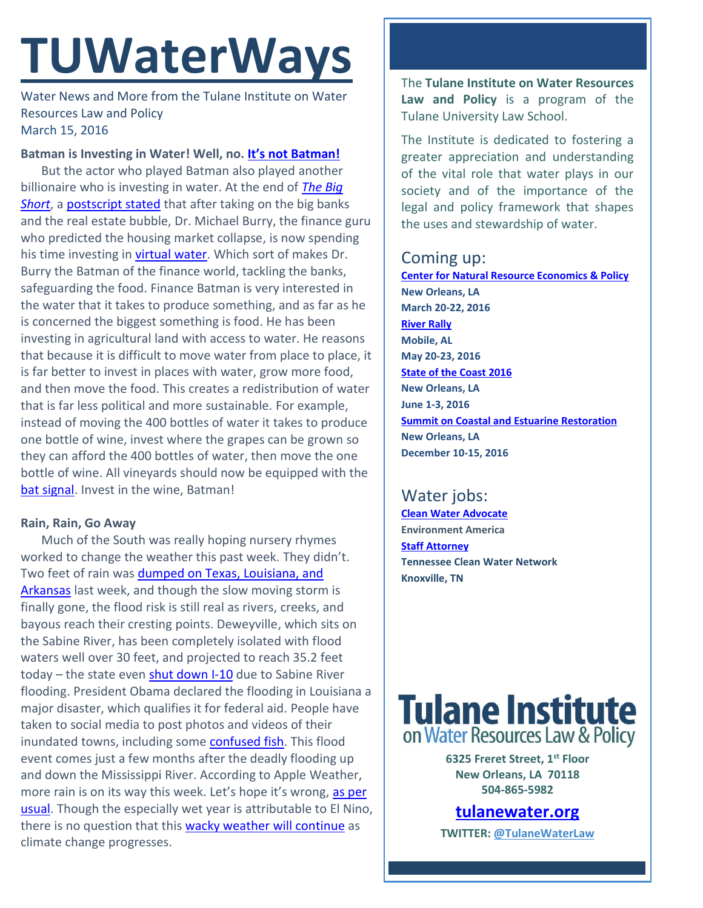# **TUWaterWays**

Water News and More from the Tulane Institute on Water Resources Law and Policy March 15, 2016

## **Batman is Investing in Water! Well, no. [It's not Batman!](http://hugelolcdn.com/i700/324714.jpg)**

But the actor who played Batman also played another billionaire who is investing in water. At the end of *[The Big](https://www.youtube.com/watch?v=vgqG3ITMv1Q)  [Short](https://www.youtube.com/watch?v=vgqG3ITMv1Q)*, a [postscript stated](http://www.wateronline.com/doc/investing-in-water-from-big-short-to-hot-commodity-0001) that after taking on the big banks and the real estate bubble, Dr. Michael Burry, the finance guru who predicted the housing market collapse, is now spending his time investing in [virtual water.](https://en.wikipedia.org/wiki/Virtual_water) Which sort of makes Dr. Burry the Batman of the finance world, tackling the banks, safeguarding the food. Finance Batman is very interested in the water that it takes to produce something, and as far as he is concerned the biggest something is food. He has been investing in agricultural land with access to water. He reasons that because it is difficult to move water from place to place, it is far better to invest in places with water, grow more food, and then move the food. This creates a redistribution of water that is far less political and more sustainable. For example, instead of moving the 400 bottles of water it takes to produce one bottle of wine, invest where the grapes can be grown so they can afford the 400 bottles of water, then move the one bottle of wine. All vineyards should now be equipped with the [bat signal.](http://www.kiss959.com/files/left-over-from-Halloween.jpg) Invest in the wine, Batman!

### **Rain, Rain, Go Away**

Much of the South was really hoping nursery rhymes worked to change the weather this past week. They didn't. Two feet of rain was dumped on Texas, Louisiana, and [Arkansas](http://www.usatoday.com/story/weather/2016/03/14/record-flooding-texas-louisiana-deweyville/81761246/) last week, and though the slow moving storm is finally gone, the flood risk is still real as rivers, creeks, and bayous reach their cresting points. Deweyville, which sits on the Sabine River, has been completely isolated with flood waters well over 30 feet, and projected to reach 35.2 feet today – the state even [shut down I-10](http://www.beaumontenterprise.com/news/article/Flooding-forces-I-10-closure-6890618.php) due to Sabine River flooding. President Obama declared the flooding in Louisiana a major disaster, which qualifies it for federal aid. People have taken to social media to post photos and videos of their inundated towns, including some [confused fish.](https://twitter.com/weatherchannel/status/708125877310074880) This flood event comes just a few months after the deadly flooding up and down the Mississippi River. According to Apple Weather, more rain is on its way this week. Let's hope it's wrong, as per [usual.](https://scontent.cdninstagram.com/hphotos-xtf1/t51.2885-15/e15/1538490_493893187389858_705713820_n.jpg) Though the especially wet year is attributable to El Nino, there is no question that this [wacky weather will continue](http://thinkprogress.org/climate/2016/03/14/3759699/climate-change-extreme-events-study/) as climate change progresses.

The **Tulane Institute on Water Resources Law and Policy** is a program of the Tulane University Law School.

The Institute is dedicated to fostering a greater appreciation and understanding of the vital role that water plays in our society and of the importance of the legal and policy framework that shapes the uses and stewardship of water.

# Coming up:

**[Center for Natural Resource Economics & Policy](http://www.cnrep.lsu.edu/2016/) New Orleans, LA March 20-22, 2016 [River Rally](https://www.rivernetwork.org/events-learning/river-rally/about/) Mobile, AL May 20-23, 2016 [State of the Coast 2016](http://stateofthecoast.org/) New Orleans, LA June 1-3, 2016 [Summit on Coastal and Estuarine Restoration](https://www.estuaries.org/images/NOLA_2016/2016-Summit-CFP_FINAL-011516.pdf) New Orleans, LA December 10-15, 2016**

# Water jobs:

**[Clean Water Advocate](http://jobs.environmentamerica.org/clean-water-advocate.html) Environment America [Staff Attorney](http://www.tcwn.org/job-opening-staff-attorney/) Tennessee Clean Water Network Knoxville, TN**

# **Tulane Institute** on Water Resources Law & Policy

**6325 Freret Street, 1st Floor New Orleans, LA 70118 504-865-5982** 

**[tulanewater.org](file:///C:/Users/waterlaw/Downloads/tulanewater.org)**

**TWITTER: [@TulaneWaterLaw](http://www.twitter.com/TulaneWaterLaw)**